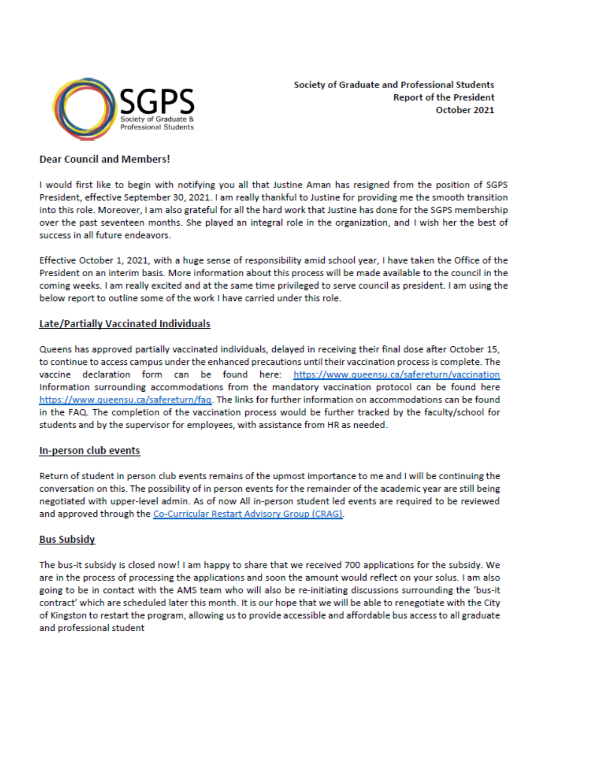

## **Dear Council and Members!**

I would first like to begin with notifying you all that Justine Aman has resigned from the position of SGPS President, effective September 30, 2021. I am really thankful to Justine for providing me the smooth transition into this role. Moreover, I am also grateful for all the hard work that Justine has done for the SGPS membership over the past seventeen months. She played an integral role in the organization, and I wish her the best of success in all future endeavors.

Effective October 1, 2021, with a huge sense of responsibility amid school year. I have taken the Office of the President on an interim basis. More information about this process will be made available to the council in the coming weeks. I am really excited and at the same time privileged to serve council as president. I am using the below report to outline some of the work I have carried under this role.

### **Late/Partially Vaccinated Individuals**

Queens has approved partially vaccinated individuals, delayed in receiving their final dose after October 15, to continue to access campus under the enhanced precautions until their vaccination process is complete. The vaccine declaration form can be found here: https://www.queensu.ca/safereturn/vaccination Information surrounding accommodations from the mandatory vaccination protocol can be found here https://www.queensu.ca/safereturn/faq. The links for further information on accommodations can be found in the FAQ. The completion of the vaccination process would be further tracked by the faculty/school for students and by the supervisor for employees, with assistance from HR as needed.

#### In-person club events

Return of student in person club events remains of the upmost importance to me and I will be continuing the conversation on this. The possibility of in person events for the remainder of the academic year are still being negotiated with upper-level admin. As of now All in-person student led events are required to be reviewed and approved through the Co-Curricular Restart Advisory Group (CRAG).

#### **Bus Subsidy**

The bus-it subsidy is closed now! I am happy to share that we received 700 applications for the subsidy. We are in the process of processing the applications and soon the amount would reflect on your solus. I am also going to be in contact with the AMS team who will also be re-initiating discussions surrounding the 'bus-it contract' which are scheduled later this month. It is our hope that we will be able to renegotiate with the City of Kingston to restart the program, allowing us to provide accessible and affordable bus access to all graduate and professional student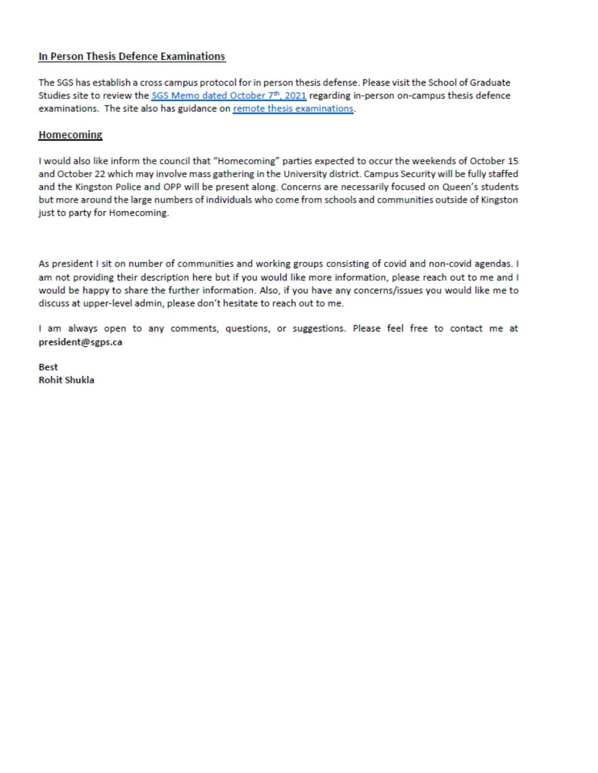## In Person Thesis Defence Examinations

The SGS has establish a cross campus protocol for in person thesis defense. Please visit the School of Graduate Studies site to review the SGS Memo dated October 7th, 2021 regarding in-person on-campus thesis defence examinations. The site also has guidance on remote thesis examinations.

## **Homecoming**

I would also like inform the council that "Homecoming" parties expected to occur the weekends of October 15 and October 22 which may involve mass gathering in the University district. Campus Security will be fully staffed and the Kingston Police and OPP will be present along. Concerns are necessarily focused on Queen's students but more around the large numbers of individuals who come from schools and communities outside of Kingston just to party for Homecoming.

As president I sit on number of communities and working groups consisting of covid and non-covid agendas. I am not providing their description here but if you would like more information, please reach out to me and I would be happy to share the further information. Also, if you have any concerns/issues you would like me to discuss at upper-level admin, please don't hesitate to reach out to me.

I am always open to any comments, questions, or suggestions. Please feel free to contact me at president@sgps.ca

**Best Rohit Shukla**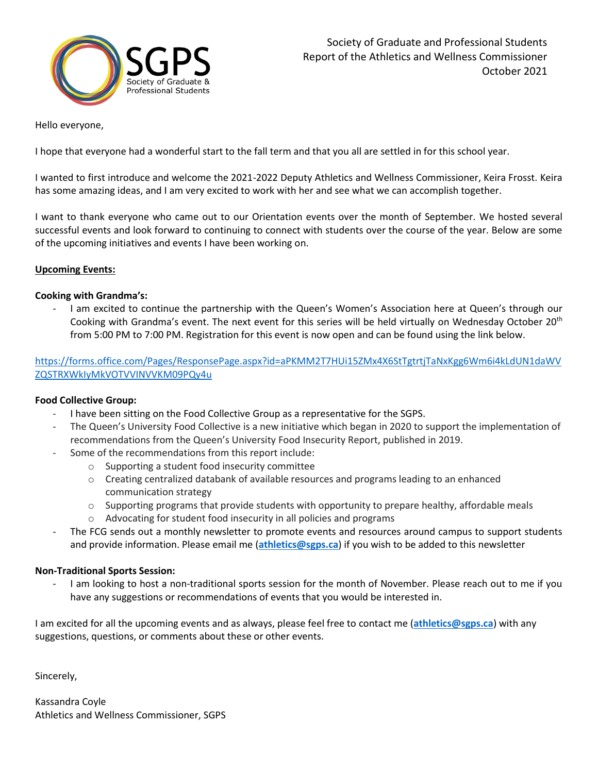

### Hello everyone,

I hope that everyone had a wonderful start to the fall term and that you all are settled in for this school year.

I wanted to first introduce and welcome the 2021-2022 Deputy Athletics and Wellness Commissioner, Keira Frosst. Keira has some amazing ideas, and I am very excited to work with her and see what we can accomplish together.

I want to thank everyone who came out to our Orientation events over the month of September. We hosted several successful events and look forward to continuing to connect with students over the course of the year. Below are some of the upcoming initiatives and events I have been working on.

### **Upcoming Events:**

## **Cooking with Grandma's:**

- I am excited to continue the partnership with the Queen's Women's Association here at Queen's through our Cooking with Grandma's event. The next event for this series will be held virtually on Wednesday October 20th from 5:00 PM to 7:00 PM. Registration for this event is now open and can be found using the link below.

[https://forms.office.com/Pages/ResponsePage.aspx?id=aPKMM2T7HUi15ZMx4X6StTgtrtjTaNxKgg6Wm6i4kLdUN1daWV](https://forms.office.com/Pages/ResponsePage.aspx?id=aPKMM2T7HUi15ZMx4X6StTgtrtjTaNxKgg6Wm6i4kLdUN1daWVZQSTRXWkIyMkVOTVVINVVKM09PQy4u) [ZQSTRXWkIyMkVOTVVINVVKM09PQy4u](https://forms.office.com/Pages/ResponsePage.aspx?id=aPKMM2T7HUi15ZMx4X6StTgtrtjTaNxKgg6Wm6i4kLdUN1daWVZQSTRXWkIyMkVOTVVINVVKM09PQy4u)

## **Food Collective Group:**

- I have been sitting on the Food Collective Group as a representative for the SGPS.
- The Queen's University Food Collective is a new initiative which began in 2020 to support the implementation of recommendations from the Queen's University Food Insecurity Report, published in 2019.
- Some of the recommendations from this report include:
	- o Supporting a student food insecurity committee
	- o Creating centralized databank of available resources and programs leading to an enhanced communication strategy
	- $\circ$  Supporting programs that provide students with opportunity to prepare healthy, affordable meals
	- o Advocating for student food insecurity in all policies and programs
- The FCG sends out a monthly newsletter to promote events and resources around campus to support students and provide information. Please email me (**[athletics@sgps.ca](mailto:athletics@sgps.ca)**) if you wish to be added to this newsletter

## **Non-Traditional Sports Session:**

I am looking to host a non-traditional sports session for the month of November. Please reach out to me if you have any suggestions or recommendations of events that you would be interested in.

I am excited for all the upcoming events and as always, please feel free to contact me (**[athletics@sgps.ca](mailto:athletics@sgps.ca)**) with any suggestions, questions, or comments about these or other events.

Sincerely,

Kassandra Coyle Athletics and Wellness Commissioner, SGPS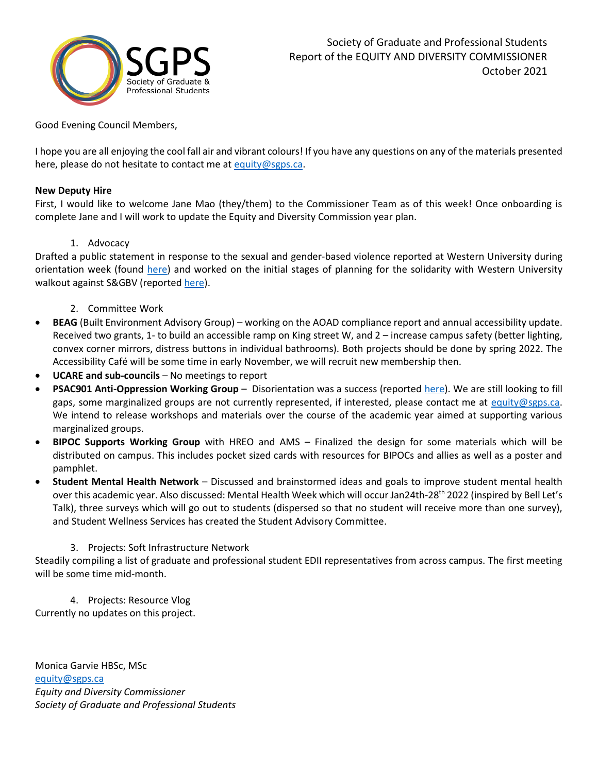

Good Evening Council Members,

I hope you are all enjoying the cool fall air and vibrant colours! If you have any questions on any of the materials presented here, please do not hesitate to contact me at [equity@sgps.ca.](mailto:equity@sgps.ca)

## **New Deputy Hire**

First, I would like to welcome Jane Mao (they/them) to the Commissioner Team as of this week! Once onboarding is complete Jane and I will work to update the Equity and Diversity Commission year plan.

## 1. Advocacy

Drafted a public statement in response to the sexual and gender-based violence reported at Western University during orientation week (found [here\)](https://sgps.ca/2021/09/17/in-response-to-sexual-and-gender-based-violence-at-western-university/) and worked on the initial stages of planning for the solidarity with Western University walkout against S&GBV (reporte[d here\)](https://globalnews.ca/news/8224722/queens-students-walk-out-protest-sexual-violence/).

- 2. Committee Work
- **BEAG** (Built Environment Advisory Group) working on the AOAD compliance report and annual accessibility update. Received two grants, 1- to build an accessible ramp on King street W, and 2 – increase campus safety (better lighting, convex corner mirrors, distress buttons in individual bathrooms). Both projects should be done by spring 2022. The Accessibility Café will be some time in early November, we will recruit new membership then.
- **UCARE and sub-councils** No meetings to report
- **PSAC901 Anti-Oppression Working Group** Disorientation was a success (reported [here\)](https://www.queensjournal.ca/story/2021-09-27/news/psac-901-and-sgps-host-disorientation/?fbclid=IwAR1H47TjnR-ObEi74SIpUOR2Jz0wdT0tmYCsIZkE7GYqsrjSPGOax5vjLzk). We are still looking to fill gaps, some marginalized groups are not currently represented, if interested, please contact me at [equity@sgps.ca.](mailto:equity@sgps.ca) We intend to release workshops and materials over the course of the academic year aimed at supporting various marginalized groups.
- **BIPOC Supports Working Group** with HREO and AMS Finalized the design for some materials which will be distributed on campus. This includes pocket sized cards with resources for BIPOCs and allies as well as a poster and pamphlet.
- **Student Mental Health Network** Discussed and brainstormed ideas and goals to improve student mental health over this academic year. Also discussed: Mental Health Week which will occur Jan24th-28<sup>th</sup> 2022 (inspired by Bell Let's Talk), three surveys which will go out to students (dispersed so that no student will receive more than one survey), and Student Wellness Services has created the Student Advisory Committee.

# 3. Projects: Soft Infrastructure Network

Steadily compiling a list of graduate and professional student EDII representatives from across campus. The first meeting will be some time mid-month.

4. Projects: Resource Vlog Currently no updates on this project.

Monica Garvie HBSc, MSc [equity@sgps.ca](mailto:equity@sgps.ca) *Equity and Diversity Commissioner Society of Graduate and Professional Students*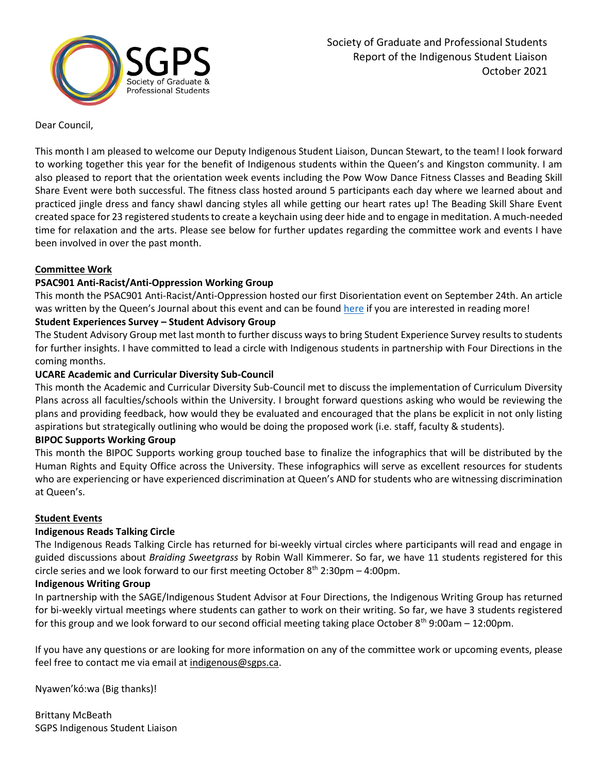

Dear Council,

This month I am pleased to welcome our Deputy Indigenous Student Liaison, Duncan Stewart, to the team! I look forward to working together this year for the benefit of Indigenous students within the Queen's and Kingston community. I am also pleased to report that the orientation week events including the Pow Wow Dance Fitness Classes and Beading Skill Share Event were both successful. The fitness class hosted around 5 participants each day where we learned about and practiced jingle dress and fancy shawl dancing styles all while getting our heart rates up! The Beading Skill Share Event created space for 23 registered students to create a keychain using deer hide and to engage in meditation. A much-needed time for relaxation and the arts. Please see below for further updates regarding the committee work and events I have been involved in over the past month.

## **Committee Work**

# **PSAC901 Anti-Racist/Anti-Oppression Working Group**

This month the PSAC901 Anti-Racist/Anti-Oppression hosted our first Disorientation event on September 24th. An article was written by the Queen's Journal about this event and can be found [here](https://www.queensjournal.ca/story/2021-09-27/news/psac-901-and-sgps-host-disorientation/?fbclid=IwAR0RqB55CtkiX70y0wFuT7se4n1Pmm3ZCJxp0NrJ7btYlw4flGwMtylgMNc) if you are interested in reading more!

# **Student Experiences Survey – Student Advisory Group**

The Student Advisory Group met last month to further discuss ways to bring Student Experience Survey results to students for further insights. I have committed to lead a circle with Indigenous students in partnership with Four Directions in the coming months.

## **UCARE Academic and Curricular Diversity Sub-Council**

This month the Academic and Curricular Diversity Sub-Council met to discuss the implementation of Curriculum Diversity Plans across all faculties/schools within the University. I brought forward questions asking who would be reviewing the plans and providing feedback, how would they be evaluated and encouraged that the plans be explicit in not only listing aspirations but strategically outlining who would be doing the proposed work (i.e. staff, faculty & students).

# **BIPOC Supports Working Group**

This month the BIPOC Supports working group touched base to finalize the infographics that will be distributed by the Human Rights and Equity Office across the University. These infographics will serve as excellent resources for students who are experiencing or have experienced discrimination at Queen's AND for students who are witnessing discrimination at Queen's.

## **Student Events**

# **Indigenous Reads Talking Circle**

The Indigenous Reads Talking Circle has returned for bi-weekly virtual circles where participants will read and engage in guided discussions about *Braiding Sweetgrass* by Robin Wall Kimmerer. So far, we have 11 students registered for this circle series and we look forward to our first meeting October  $8<sup>th</sup>$  2:30pm – 4:00pm.

## **Indigenous Writing Group**

In partnership with the SAGE/Indigenous Student Advisor at Four Directions, the Indigenous Writing Group has returned for bi-weekly virtual meetings where students can gather to work on their writing. So far, we have 3 students registered for this group and we look forward to our second official meeting taking place October  $8^{th}$  9:00am – 12:00pm.

If you have any questions or are looking for more information on any of the committee work or upcoming events, please feel free to contact me via email at [indigenous@sgps.ca.](mailto:indigenous@sgps.ca)

Nyawen'kó:wa (Big thanks)!

Brittany McBeath SGPS Indigenous Student Liaison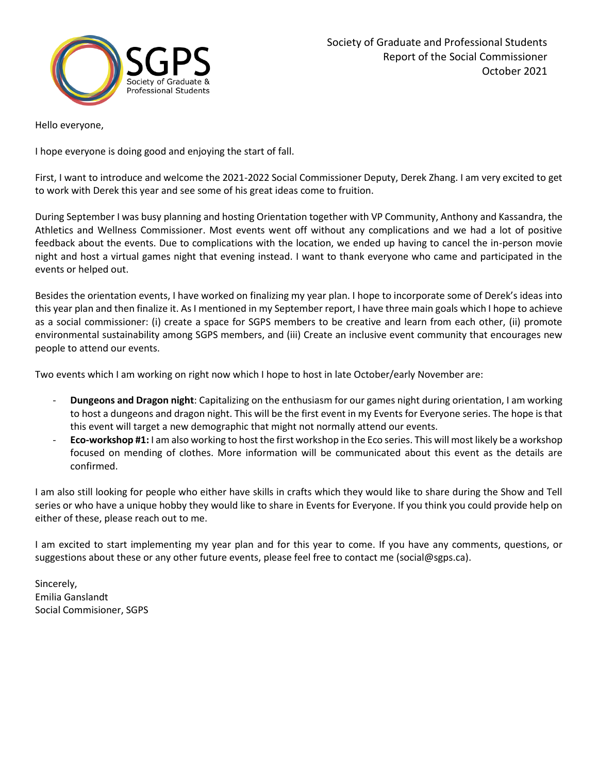

Hello everyone,

I hope everyone is doing good and enjoying the start of fall.

First, I want to introduce and welcome the 2021-2022 Social Commissioner Deputy, Derek Zhang. I am very excited to get to work with Derek this year and see some of his great ideas come to fruition.

During September I was busy planning and hosting Orientation together with VP Community, Anthony and Kassandra, the Athletics and Wellness Commissioner. Most events went off without any complications and we had a lot of positive feedback about the events. Due to complications with the location, we ended up having to cancel the in-person movie night and host a virtual games night that evening instead. I want to thank everyone who came and participated in the events or helped out.

Besides the orientation events, I have worked on finalizing my year plan. I hope to incorporate some of Derek's ideas into this year plan and then finalize it. As I mentioned in my September report, I have three main goals which I hope to achieve as a social commissioner: (i) create a space for SGPS members to be creative and learn from each other, (ii) promote environmental sustainability among SGPS members, and (iii) Create an inclusive event community that encourages new people to attend our events.

Two events which I am working on right now which I hope to host in late October/early November are:

- **Dungeons and Dragon night**: Capitalizing on the enthusiasm for our games night during orientation, I am working to host a dungeons and dragon night. This will be the first event in my Events for Everyone series. The hope is that this event will target a new demographic that might not normally attend our events.
- **Eco-workshop #1:** I am also working to host the first workshop in the Eco series. This will most likely be a workshop focused on mending of clothes. More information will be communicated about this event as the details are confirmed.

I am also still looking for people who either have skills in crafts which they would like to share during the Show and Tell series or who have a unique hobby they would like to share in Events for Everyone. If you think you could provide help on either of these, please reach out to me.

I am excited to start implementing my year plan and for this year to come. If you have any comments, questions, or suggestions about these or any other future events, please feel free to contact me (social@sgps.ca).

Sincerely, Emilia Ganslandt Social Commisioner, SGPS